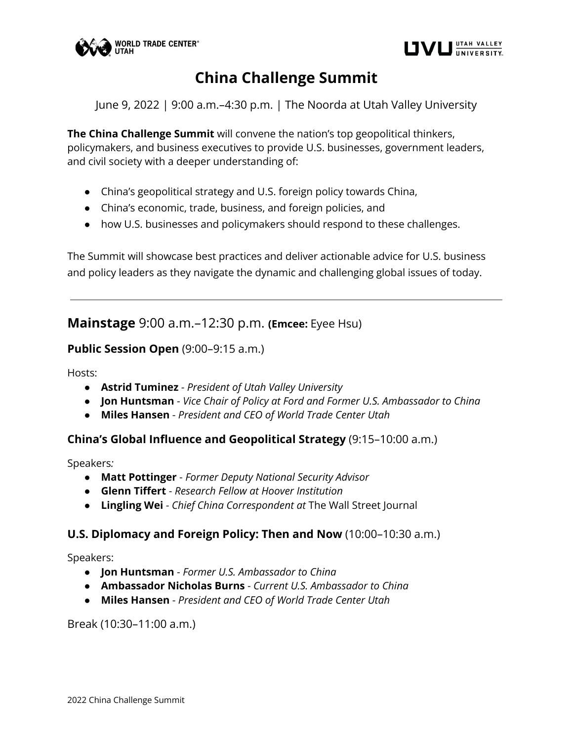



# **China Challenge Summit**

June 9, 2022 | 9:00 a.m.–4:30 p.m. | The Noorda at Utah Valley University

**The China Challenge Summit** will convene the nation's top geopolitical thinkers, policymakers, and business executives to provide U.S. businesses, government leaders, and civil society with a deeper understanding of:

- China's geopolitical strategy and U.S. foreign policy towards China,
- China's economic, trade, business, and foreign policies, and
- how U.S. businesses and policymakers should respond to these challenges.

The Summit will showcase best practices and deliver actionable advice for U.S. business and policy leaders as they navigate the dynamic and challenging global issues of today.

**Mainstage** 9:00 a.m.–12:30 p.m. **(Emcee:** Eyee Hsu)

#### **Public Session Open** (9:00-9:15 a.m.)

Hosts:

- **Astrid Tuminez** *President of Utah Valley University*
- **Jon Huntsman** *Vice Chair of Policy at Ford and Former U.S. Ambassador to China*
- **Miles Hansen** *President and CEO of World Trade Center Utah*

#### **China's Global Influence and Geopolitical Strategy** (9:15–10:00 a.m.)

Speakers*:*

- **Matt Pottinger** *Former Deputy National Security Advisor*
- **Glenn Tiffert** *Research Fellow at Hoover Institution*
- **Lingling Wei** *Chief China Correspondent at* The Wall Street Journal

#### **U.S. Diplomacy and Foreign Policy: Then and Now** (10:00–10:30 a.m.)

Speakers:

- **Jon Huntsman** *Former U.S. Ambassador to China*
- **Ambassador Nicholas Burns** *Current U.S. Ambassador to China*
- **Miles Hansen** *President and CEO of World Trade Center Utah*

Break (10:30–11:00 a.m.)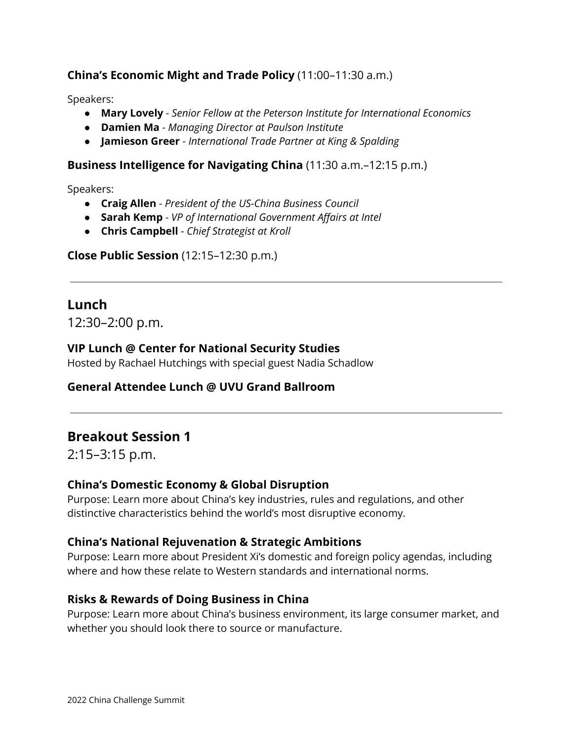### **China's Economic Might and Trade Policy** (11:00–11:30 a.m.)

Speakers:

- **Mary Lovely** *Senior Fellow at the Peterson Institute for International Economics*
- **Damien Ma** *Managing Director at Paulson Institute*
- **Jamieson Greer** *International Trade Partner at King & Spalding*

### **Business Intelligence for Navigating China** (11:30 a.m.–12:15 p.m.)

Speakers:

- **Craig Allen** *President of the US-China Business Council*
- **Sarah Kemp** *VP of International Government Affairs at Intel*
- **Chris Campbell** *Chief Strategist at Kroll*

**Close Public Session** (12:15–12:30 p.m.)

## **Lunch**

12:30–2:00 p.m.

### **VIP Lunch @ Center for National Security Studies**

Hosted by Rachael Hutchings with special guest Nadia Schadlow

### **General Attendee Lunch @ UVU Grand Ballroom**

# **Breakout Session 1**

2:15–3:15 p.m.

### **China's Domestic Economy & Global Disruption**

Purpose: Learn more about China's key industries, rules and regulations, and other distinctive characteristics behind the world's most disruptive economy.

### **China's National Rejuvenation & Strategic Ambitions**

Purpose: Learn more about President Xi's domestic and foreign policy agendas, including where and how these relate to Western standards and international norms.

### **Risks & Rewards of Doing Business in China**

Purpose: Learn more about China's business environment, its large consumer market, and whether you should look there to source or manufacture.